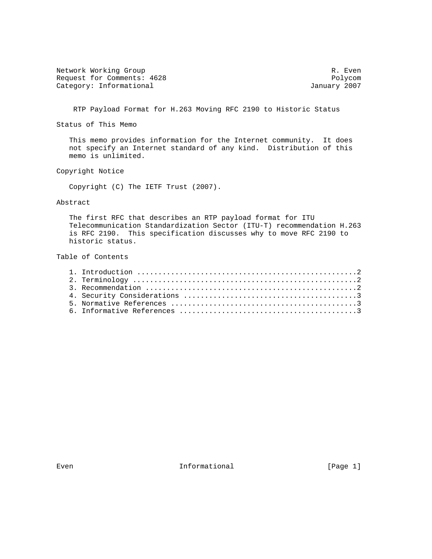Network Working Group and the contract of the contract of the R. Even Request for Comments: 4628 Polycom<br>
Category: Informational and Category: Informational and Polycom Category: Informational

RTP Payload Format for H.263 Moving RFC 2190 to Historic Status

Status of This Memo

 This memo provides information for the Internet community. It does not specify an Internet standard of any kind. Distribution of this memo is unlimited.

Copyright Notice

Copyright (C) The IETF Trust (2007).

## Abstract

 The first RFC that describes an RTP payload format for ITU Telecommunication Standardization Sector (ITU-T) recommendation H.263 is RFC 2190. This specification discusses why to move RFC 2190 to historic status.

Table of Contents

Even **Informational Informational** [Page 1]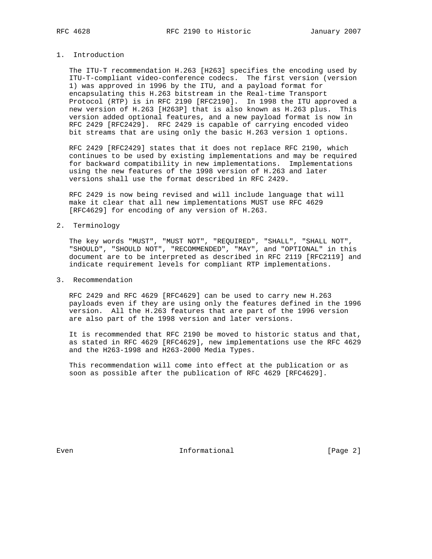## 1. Introduction

 The ITU-T recommendation H.263 [H263] specifies the encoding used by ITU-T-compliant video-conference codecs. The first version (version 1) was approved in 1996 by the ITU, and a payload format for encapsulating this H.263 bitstream in the Real-time Transport Protocol (RTP) is in RFC 2190 [RFC2190]. In 1998 the ITU approved a new version of H.263 [H263P] that is also known as H.263 plus. This version added optional features, and a new payload format is now in RFC 2429 [RFC2429]. RFC 2429 is capable of carrying encoded video bit streams that are using only the basic H.263 version 1 options.

 RFC 2429 [RFC2429] states that it does not replace RFC 2190, which continues to be used by existing implementations and may be required for backward compatibility in new implementations. Implementations using the new features of the 1998 version of H.263 and later versions shall use the format described in RFC 2429.

 RFC 2429 is now being revised and will include language that will make it clear that all new implementations MUST use RFC 4629 [RFC4629] for encoding of any version of H.263.

## 2. Terminology

 The key words "MUST", "MUST NOT", "REQUIRED", "SHALL", "SHALL NOT", "SHOULD", "SHOULD NOT", "RECOMMENDED", "MAY", and "OPTIONAL" in this document are to be interpreted as described in RFC 2119 [RFC2119] and indicate requirement levels for compliant RTP implementations.

## 3. Recommendation

 RFC 2429 and RFC 4629 [RFC4629] can be used to carry new H.263 payloads even if they are using only the features defined in the 1996 version. All the H.263 features that are part of the 1996 version are also part of the 1998 version and later versions.

 It is recommended that RFC 2190 be moved to historic status and that, as stated in RFC 4629 [RFC4629], new implementations use the RFC 4629 and the H263-1998 and H263-2000 Media Types.

 This recommendation will come into effect at the publication or as soon as possible after the publication of RFC 4629 [RFC4629].

Even Contractional Even Informational (Page 2)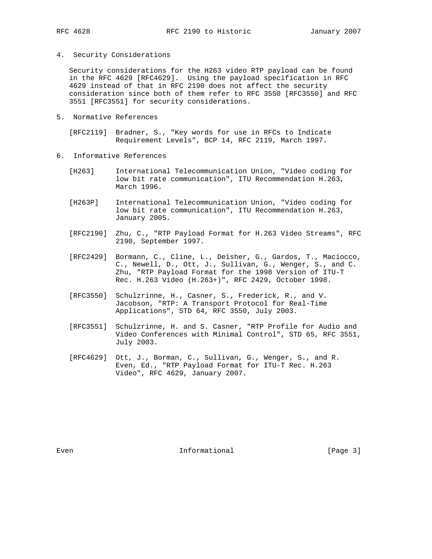4. Security Considerations

 Security considerations for the H263 video RTP payload can be found in the RFC 4629 [RFC4629]. Using the payload specification in RFC 4629 instead of that in RFC 2190 does not affect the security consideration since both of them refer to RFC 3550 [RFC3550] and RFC 3551 [RFC3551] for security considerations.

5. Normative References

 [RFC2119] Bradner, S., "Key words for use in RFCs to Indicate Requirement Levels", BCP 14, RFC 2119, March 1997.

- 6. Informative References
	- [H263] International Telecommunication Union, "Video coding for low bit rate communication", ITU Recommendation H.263, March 1996.
	- [H263P] International Telecommunication Union, "Video coding for low bit rate communication", ITU Recommendation H.263, January 2005.
	- [RFC2190] Zhu, C., "RTP Payload Format for H.263 Video Streams", RFC 2190, September 1997.
	- [RFC2429] Bormann, C., Cline, L., Deisher, G., Gardos, T., Maciocco, C., Newell, D., Ott, J., Sullivan, G., Wenger, S., and C. Zhu, "RTP Payload Format for the 1998 Version of ITU-T Rec. H.263 Video (H.263+)", RFC 2429, October 1998.
	- [RFC3550] Schulzrinne, H., Casner, S., Frederick, R., and V. Jacobson, "RTP: A Transport Protocol for Real-Time Applications", STD 64, RFC 3550, July 2003.
	- [RFC3551] Schulzrinne, H. and S. Casner, "RTP Profile for Audio and Video Conferences with Minimal Control", STD 65, RFC 3551, July 2003.
	- [RFC4629] Ott, J., Borman, C., Sullivan, G., Wenger, S., and R. Even, Ed., "RTP Payload Format for ITU-T Rec. H.263 Video", RFC 4629, January 2007.

Even Contractional Even Informational (Page 3)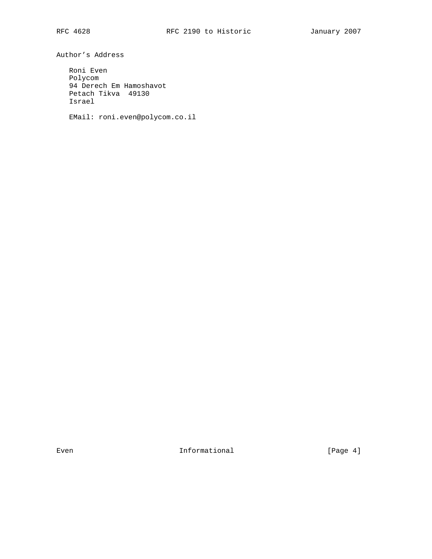Author's Address

 Roni Even Polycom 94 Derech Em Hamoshavot Petach Tikva 49130 Israel

EMail: roni.even@polycom.co.il

Even **Informational Informational** [Page 4]